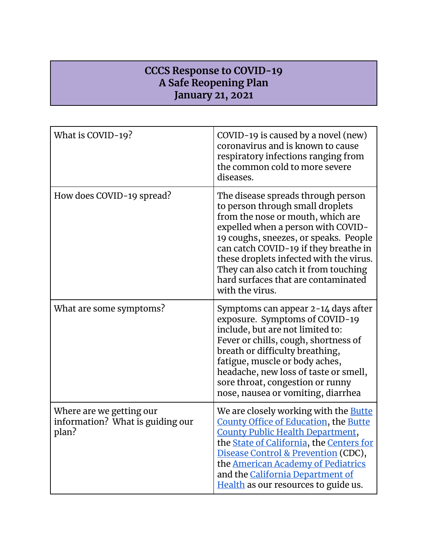## **CCCS Response to COVID-19 A Safe Reopening Plan January 21, 2021**

| What is COVID-19?                                                     | COVID-19 is caused by a novel (new)<br>coronavirus and is known to cause<br>respiratory infections ranging from<br>the common cold to more severe<br>diseases.                                                                                                                                                                                                                   |
|-----------------------------------------------------------------------|----------------------------------------------------------------------------------------------------------------------------------------------------------------------------------------------------------------------------------------------------------------------------------------------------------------------------------------------------------------------------------|
| How does COVID-19 spread?                                             | The disease spreads through person<br>to person through small droplets<br>from the nose or mouth, which are<br>expelled when a person with COVID-<br>19 coughs, sneezes, or speaks. People<br>can catch COVID-19 if they breathe in<br>these droplets infected with the virus.<br>They can also catch it from touching<br>hard surfaces that are contaminated<br>with the virus. |
| What are some symptoms?                                               | Symptoms can appear 2-14 days after<br>exposure. Symptoms of COVID-19<br>include, but are not limited to:<br>Fever or chills, cough, shortness of<br>breath or difficulty breathing,<br>fatigue, muscle or body aches,<br>headache, new loss of taste or smell,<br>sore throat, congestion or runny<br>nose, nausea or vomiting, diarrhea                                        |
| Where are we getting our<br>information? What is guiding our<br>plan? | We are closely working with the <b>Butte</b><br>County Office of Education, the Butte<br>County Public Health Department,<br>the <b>State of California</b> , the <b>Centers</b> for<br>Disease Control & Prevention (CDC),<br>the <b>American Academy of Pediatrics</b><br>and the California Department of<br>Health as our resources to guide us.                             |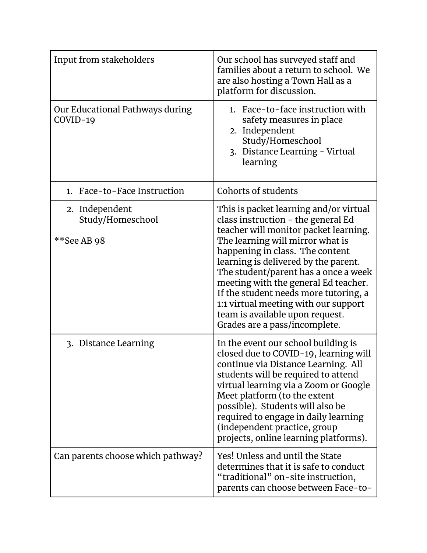| Input from stakeholders                           | Our school has surveyed staff and<br>families about a return to school. We<br>are also hosting a Town Hall as a<br>platform for discussion.                                                                                                                                                                                                                                                                                                                               |
|---------------------------------------------------|---------------------------------------------------------------------------------------------------------------------------------------------------------------------------------------------------------------------------------------------------------------------------------------------------------------------------------------------------------------------------------------------------------------------------------------------------------------------------|
| Our Educational Pathways during<br>COVID-19       | 1. Face-to-face instruction with<br>safety measures in place<br>2. Independent<br>Study/Homeschool<br>3. Distance Learning - Virtual<br>learning                                                                                                                                                                                                                                                                                                                          |
| Face-to-Face Instruction<br>1.                    | Cohorts of students                                                                                                                                                                                                                                                                                                                                                                                                                                                       |
| 2. Independent<br>Study/Homeschool<br>**See AB 98 | This is packet learning and/or virtual<br>class instruction - the general Ed<br>teacher will monitor packet learning.<br>The learning will mirror what is<br>happening in class. The content<br>learning is delivered by the parent.<br>The student/parent has a once a week<br>meeting with the general Ed teacher.<br>If the student needs more tutoring, a<br>1:1 virtual meeting with our support<br>team is available upon request.<br>Grades are a pass/incomplete. |
| 3. Distance Learning                              | In the event our school building is<br>closed due to COVID-19, learning will<br>continue via Distance Learning. All<br>students will be required to attend<br>virtual learning via a Zoom or Google<br>Meet platform (to the extent<br>possible). Students will also be<br>required to engage in daily learning<br>(independent practice, group<br>projects, online learning platforms).                                                                                  |
| Can parents choose which pathway?                 | Yes! Unless and until the State<br>determines that it is safe to conduct<br>"traditional" on-site instruction,<br>parents can choose between Face-to-                                                                                                                                                                                                                                                                                                                     |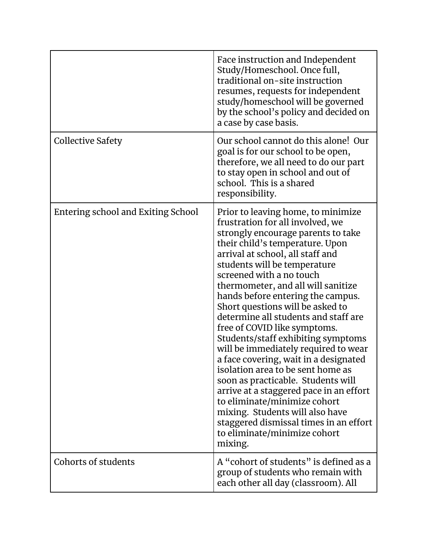|                                    | Face instruction and Independent<br>Study/Homeschool. Once full,<br>traditional on-site instruction<br>resumes, requests for independent<br>study/homeschool will be governed<br>by the school's policy and decided on<br>a case by case basis.                                                                                                                                                                                                                                                                                                                                                                                                                                                                                                                                                                                             |
|------------------------------------|---------------------------------------------------------------------------------------------------------------------------------------------------------------------------------------------------------------------------------------------------------------------------------------------------------------------------------------------------------------------------------------------------------------------------------------------------------------------------------------------------------------------------------------------------------------------------------------------------------------------------------------------------------------------------------------------------------------------------------------------------------------------------------------------------------------------------------------------|
| <b>Collective Safety</b>           | Our school cannot do this alone! Our<br>goal is for our school to be open,<br>therefore, we all need to do our part<br>to stay open in school and out of<br>school. This is a shared<br>responsibility.                                                                                                                                                                                                                                                                                                                                                                                                                                                                                                                                                                                                                                     |
| Entering school and Exiting School | Prior to leaving home, to minimize<br>frustration for all involved, we<br>strongly encourage parents to take<br>their child's temperature. Upon<br>arrival at school, all staff and<br>students will be temperature<br>screened with a no touch<br>thermometer, and all will sanitize<br>hands before entering the campus.<br>Short questions will be asked to<br>determine all students and staff are<br>free of COVID like symptoms.<br>Students/staff exhibiting symptoms<br>will be immediately required to wear<br>a face covering, wait in a designated<br>isolation area to be sent home as<br>soon as practicable. Students will<br>arrive at a staggered pace in an effort<br>to eliminate/minimize cohort<br>mixing. Students will also have<br>staggered dismissal times in an effort<br>to eliminate/minimize cohort<br>mixing. |
| Cohorts of students                | A "cohort of students" is defined as a<br>group of students who remain with<br>each other all day (classroom). All                                                                                                                                                                                                                                                                                                                                                                                                                                                                                                                                                                                                                                                                                                                          |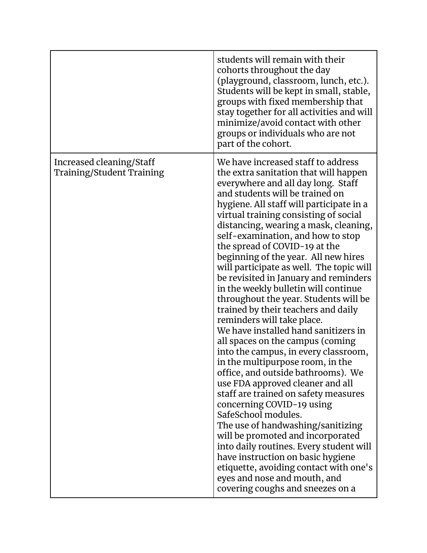|                                                              | students will remain with their<br>cohorts throughout the day<br>(playground, classroom, lunch, etc.).<br>Students will be kept in small, stable,<br>groups with fixed membership that<br>stay together for all activities and will<br>minimize/avoid contact with other<br>groups or individuals who are not<br>part of the cohort.                                                                                                                                                                                                                                                                                                                                                                                                                                                                                                                                                                                                                                                                                                                                                                                                                                                                                                              |
|--------------------------------------------------------------|---------------------------------------------------------------------------------------------------------------------------------------------------------------------------------------------------------------------------------------------------------------------------------------------------------------------------------------------------------------------------------------------------------------------------------------------------------------------------------------------------------------------------------------------------------------------------------------------------------------------------------------------------------------------------------------------------------------------------------------------------------------------------------------------------------------------------------------------------------------------------------------------------------------------------------------------------------------------------------------------------------------------------------------------------------------------------------------------------------------------------------------------------------------------------------------------------------------------------------------------------|
| Increased cleaning/Staff<br><b>Training/Student Training</b> | We have increased staff to address<br>the extra sanitation that will happen<br>everywhere and all day long. Staff<br>and students will be trained on<br>hygiene. All staff will participate in a<br>virtual training consisting of social<br>distancing, wearing a mask, cleaning,<br>self-examination, and how to stop<br>the spread of COVID-19 at the<br>beginning of the year. All new hires<br>will participate as well. The topic will<br>be revisited in January and reminders<br>in the weekly bulletin will continue<br>throughout the year. Students will be<br>trained by their teachers and daily<br>reminders will take place.<br>We have installed hand sanitizers in<br>all spaces on the campus (coming<br>into the campus, in every classroom,<br>in the multipurpose room, in the<br>office, and outside bathrooms). We<br>use FDA approved cleaner and all<br>staff are trained on safety measures<br>concerning COVID-19 using<br>SafeSchool modules.<br>The use of handwashing/sanitizing<br>will be promoted and incorporated<br>into daily routines. Every student will<br>have instruction on basic hygiene<br>etiquette, avoiding contact with one's<br>eyes and nose and mouth, and<br>covering coughs and sneezes on a |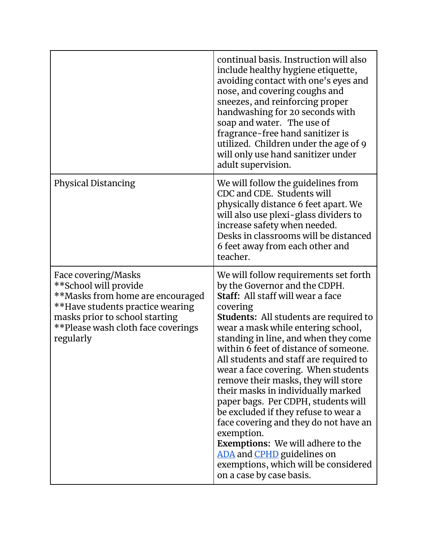|                                                                                                                                                                                                           | continual basis. Instruction will also<br>include healthy hygiene etiquette,<br>avoiding contact with one's eyes and<br>nose, and covering coughs and<br>sneezes, and reinforcing proper<br>handwashing for 20 seconds with<br>soap and water. The use of<br>fragrance-free hand sanitizer is<br>utilized. Children under the age of 9<br>will only use hand sanitizer under<br>adult supervision.                                                                                                                                                                                                                                                                                                                                                |
|-----------------------------------------------------------------------------------------------------------------------------------------------------------------------------------------------------------|---------------------------------------------------------------------------------------------------------------------------------------------------------------------------------------------------------------------------------------------------------------------------------------------------------------------------------------------------------------------------------------------------------------------------------------------------------------------------------------------------------------------------------------------------------------------------------------------------------------------------------------------------------------------------------------------------------------------------------------------------|
| <b>Physical Distancing</b>                                                                                                                                                                                | We will follow the guidelines from<br>CDC and CDE. Students will<br>physically distance 6 feet apart. We<br>will also use plexi-glass dividers to<br>increase safety when needed.<br>Desks in classrooms will be distanced<br>6 feet away from each other and<br>teacher.                                                                                                                                                                                                                                                                                                                                                                                                                                                                         |
| Face covering/Masks<br>**School will provide<br>**Masks from home are encouraged<br>**Have students practice wearing<br>masks prior to school starting<br>**Please wash cloth face coverings<br>regularly | We will follow requirements set forth<br>by the Governor and the CDPH.<br>Staff: All staff will wear a face<br>covering<br><b>Students:</b> All students are required to<br>wear a mask while entering school,<br>standing in line, and when they come<br>within 6 feet of distance of someone.<br>All students and staff are required to<br>wear a face covering. When students<br>remove their masks, they will store<br>their masks in individually marked<br>paper bags. Per CDPH, students will<br>be excluded if they refuse to wear a<br>face covering and they do not have an<br>exemption.<br><b>Exemptions:</b> We will adhere to the<br>ADA and CPHD guidelines on<br>exemptions, which will be considered<br>on a case by case basis. |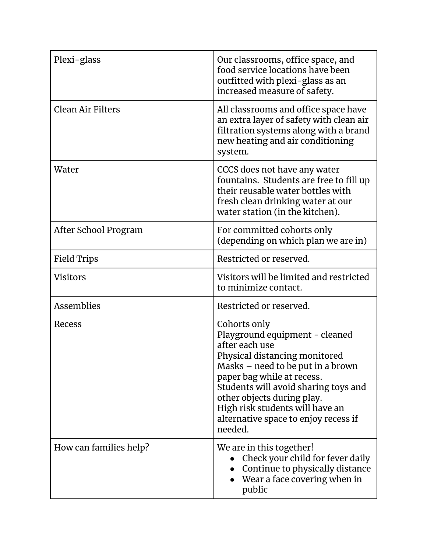| Plexi-glass              | Our classrooms, office space, and<br>food service locations have been<br>outfitted with plexi-glass as an<br>increased measure of safety.                                                                                                                                                                                        |
|--------------------------|----------------------------------------------------------------------------------------------------------------------------------------------------------------------------------------------------------------------------------------------------------------------------------------------------------------------------------|
| <b>Clean Air Filters</b> | All classrooms and office space have<br>an extra layer of safety with clean air<br>filtration systems along with a brand<br>new heating and air conditioning<br>system.                                                                                                                                                          |
| Water                    | CCCS does not have any water<br>fountains. Students are free to fill up<br>their reusable water bottles with<br>fresh clean drinking water at our<br>water station (in the kitchen).                                                                                                                                             |
| After School Program     | For committed cohorts only<br>(depending on which plan we are in)                                                                                                                                                                                                                                                                |
| <b>Field Trips</b>       | Restricted or reserved.                                                                                                                                                                                                                                                                                                          |
| <b>Visitors</b>          | Visitors will be limited and restricted<br>to minimize contact.                                                                                                                                                                                                                                                                  |
| <b>Assemblies</b>        | Restricted or reserved.                                                                                                                                                                                                                                                                                                          |
| Recess                   | Cohorts only<br>Playground equipment - cleaned<br>after each use<br>Physical distancing monitored<br>Masks – need to be put in a brown<br>paper bag while at recess.<br>Students will avoid sharing toys and<br>other objects during play.<br>High risk students will have an<br>alternative space to enjoy recess if<br>needed. |
| How can families help?   | We are in this together!<br>Check your child for fever daily<br>Continue to physically distance<br>Wear a face covering when in<br>public                                                                                                                                                                                        |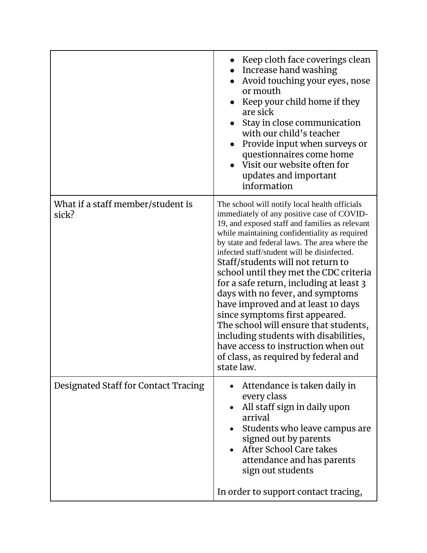|                                            | Keep cloth face coverings clean<br>Increase hand washing<br>Avoid touching your eyes, nose<br>or mouth<br>Keep your child home if they<br>are sick<br>Stay in close communication<br>with our child's teacher<br>Provide input when surveys or<br>$\bullet$<br>questionnaires come home<br>Visit our website often for<br>updates and important<br>information                                                                                                                                                                                                                                                                                                                                                      |
|--------------------------------------------|---------------------------------------------------------------------------------------------------------------------------------------------------------------------------------------------------------------------------------------------------------------------------------------------------------------------------------------------------------------------------------------------------------------------------------------------------------------------------------------------------------------------------------------------------------------------------------------------------------------------------------------------------------------------------------------------------------------------|
| What if a staff member/student is<br>sick? | The school will notify local health officials<br>immediately of any positive case of COVID-<br>19, and exposed staff and families as relevant<br>while maintaining confidentiality as required<br>by state and federal laws. The area where the<br>infected staff/student will be disinfected.<br>Staff/students will not return to<br>school until they met the CDC criteria<br>for a safe return, including at least 3<br>days with no fever, and symptoms<br>have improved and at least 10 days<br>since symptoms first appeared.<br>The school will ensure that students,<br>including students with disabilities,<br>have access to instruction when out<br>of class, as required by federal and<br>state law. |
| Designated Staff for Contact Tracing       | Attendance is taken daily in<br>every class<br>All staff sign in daily upon<br>$\bullet$<br>arrival<br>Students who leave campus are<br>signed out by parents<br>After School Care takes<br>attendance and has parents<br>sign out students<br>In order to support contact tracing,                                                                                                                                                                                                                                                                                                                                                                                                                                 |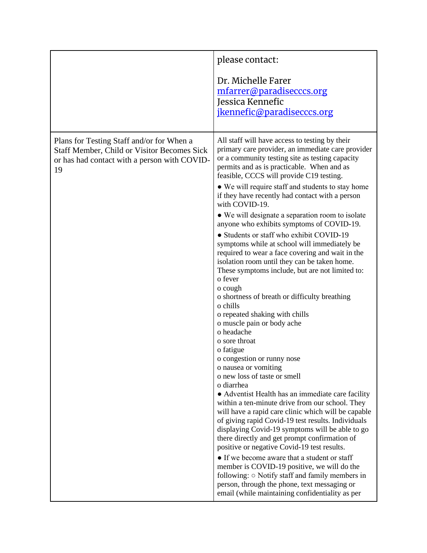|                                                                                                                                                       | please contact:<br>Dr. Michelle Farer<br>mfarrer@paradisecccs.org<br>Jessica Kennefic<br>jkennefic@paradisecccs.org                                                                                                                                                                                                                                                                                                                                                                                                                                                                                                                                                                                                                                                                                                                                                                                                                                                                                                                                                                                                                                                                                                                                                                                                                                                                                                                                                                                                                                                                                                                                                  |
|-------------------------------------------------------------------------------------------------------------------------------------------------------|----------------------------------------------------------------------------------------------------------------------------------------------------------------------------------------------------------------------------------------------------------------------------------------------------------------------------------------------------------------------------------------------------------------------------------------------------------------------------------------------------------------------------------------------------------------------------------------------------------------------------------------------------------------------------------------------------------------------------------------------------------------------------------------------------------------------------------------------------------------------------------------------------------------------------------------------------------------------------------------------------------------------------------------------------------------------------------------------------------------------------------------------------------------------------------------------------------------------------------------------------------------------------------------------------------------------------------------------------------------------------------------------------------------------------------------------------------------------------------------------------------------------------------------------------------------------------------------------------------------------------------------------------------------------|
| Plans for Testing Staff and/or for When a<br><b>Staff Member, Child or Visitor Becomes Sick</b><br>or has had contact with a person with COVID-<br>19 | All staff will have access to testing by their<br>primary care provider, an immediate care provider<br>or a community testing site as testing capacity<br>permits and as is practicable. When and as<br>feasible, CCCS will provide C19 testing.<br>• We will require staff and students to stay home<br>if they have recently had contact with a person<br>with COVID-19.<br>• We will designate a separation room to isolate<br>anyone who exhibits symptoms of COVID-19.<br>• Students or staff who exhibit COVID-19<br>symptoms while at school will immediately be<br>required to wear a face covering and wait in the<br>isolation room until they can be taken home.<br>These symptoms include, but are not limited to:<br>o fever<br>o cough<br>o shortness of breath or difficulty breathing<br>o chills<br>o repeated shaking with chills<br>o muscle pain or body ache<br>o headache<br>o sore throat<br>o fatigue<br>o congestion or runny nose<br>o nausea or vomiting<br>o new loss of taste or smell<br>o diarrhea<br>• Adventist Health has an immediate care facility<br>within a ten-minute drive from our school. They<br>will have a rapid care clinic which will be capable<br>of giving rapid Covid-19 test results. Individuals<br>displaying Covid-19 symptoms will be able to go<br>there directly and get prompt confirmation of<br>positive or negative Covid-19 test results.<br>• If we become aware that a student or staff<br>member is COVID-19 positive, we will do the<br>following: $\circ$ Notify staff and family members in<br>person, through the phone, text messaging or<br>email (while maintaining confidentiality as per |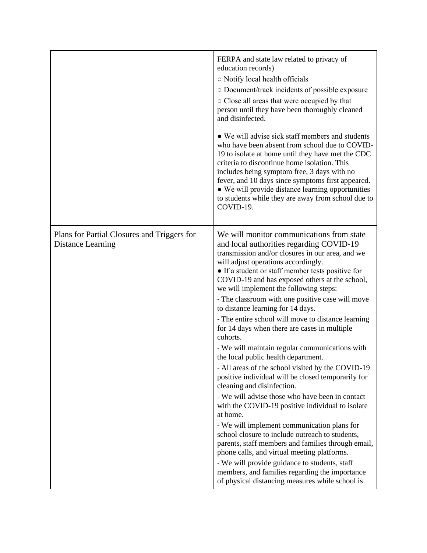|                                                                  | FERPA and state law related to privacy of<br>education records)<br>○ Notify local health officials<br>O Document/track incidents of possible exposure<br>○ Close all areas that were occupied by that<br>person until they have been thoroughly cleaned<br>and disinfected.<br>• We will advise sick staff members and students<br>who have been absent from school due to COVID-<br>19 to isolate at home until they have met the CDC<br>criteria to discontinue home isolation. This<br>includes being symptom free, 3 days with no<br>fever, and 10 days since symptoms first appeared.<br>• We will provide distance learning opportunities<br>to students while they are away from school due to<br>COVID-19.                                                                                                                                                                                                                                                                                                                                                                                                                                                                                                                                             |
|------------------------------------------------------------------|----------------------------------------------------------------------------------------------------------------------------------------------------------------------------------------------------------------------------------------------------------------------------------------------------------------------------------------------------------------------------------------------------------------------------------------------------------------------------------------------------------------------------------------------------------------------------------------------------------------------------------------------------------------------------------------------------------------------------------------------------------------------------------------------------------------------------------------------------------------------------------------------------------------------------------------------------------------------------------------------------------------------------------------------------------------------------------------------------------------------------------------------------------------------------------------------------------------------------------------------------------------|
| Plans for Partial Closures and Triggers for<br>Distance Learning | We will monitor communications from state<br>and local authorities regarding COVID-19<br>transmission and/or closures in our area, and we<br>will adjust operations accordingly.<br>• If a student or staff member tests positive for<br>COVID-19 and has exposed others at the school,<br>we will implement the following steps:<br>- The classroom with one positive case will move<br>to distance learning for 14 days.<br>- The entire school will move to distance learning<br>for 14 days when there are cases in multiple<br>cohorts.<br>- We will maintain regular communications with<br>the local public health department.<br>- All areas of the school visited by the COVID-19<br>positive individual will be closed temporarily for<br>cleaning and disinfection.<br>- We will advise those who have been in contact<br>with the COVID-19 positive individual to isolate<br>at home.<br>- We will implement communication plans for<br>school closure to include outreach to students,<br>parents, staff members and families through email,<br>phone calls, and virtual meeting platforms.<br>- We will provide guidance to students, staff<br>members, and families regarding the importance<br>of physical distancing measures while school is |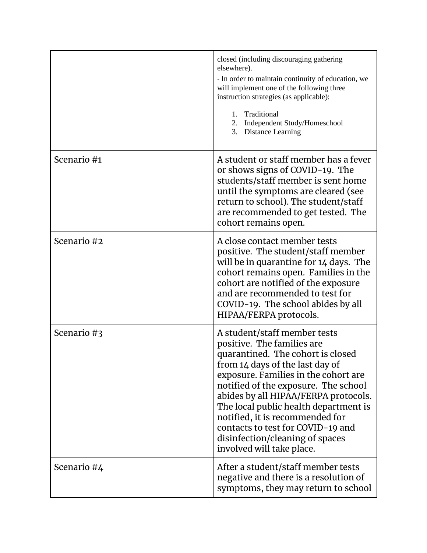|             | closed (including discouraging gathering<br>elsewhere).<br>- In order to maintain continuity of education, we<br>will implement one of the following three<br>instruction strategies (as applicable):<br>1. Traditional<br>2. Independent Study/Homeschool<br>3. Distance Learning                                                                                                                                                          |
|-------------|---------------------------------------------------------------------------------------------------------------------------------------------------------------------------------------------------------------------------------------------------------------------------------------------------------------------------------------------------------------------------------------------------------------------------------------------|
| Scenario #1 | A student or staff member has a fever<br>or shows signs of COVID-19. The<br>students/staff member is sent home<br>until the symptoms are cleared (see<br>return to school). The student/staff<br>are recommended to get tested. The<br>cohort remains open.                                                                                                                                                                                 |
| Scenario #2 | A close contact member tests<br>positive. The student/staff member<br>will be in quarantine for 14 days. The<br>cohort remains open. Families in the<br>cohort are notified of the exposure<br>and are recommended to test for<br>COVID-19. The school abides by all<br>HIPAA/FERPA protocols.                                                                                                                                              |
| Scenario #3 | A student/staff member tests<br>positive. The families are<br>quarantined. The cohort is closed<br>from 14 days of the last day of<br>exposure. Families in the cohort are<br>notified of the exposure. The school<br>abides by all HIPAA/FERPA protocols.<br>The local public health department is<br>notified, it is recommended for<br>contacts to test for COVID-19 and<br>disinfection/cleaning of spaces<br>involved will take place. |
| Scenario #4 | After a student/staff member tests<br>negative and there is a resolution of<br>symptoms, they may return to school                                                                                                                                                                                                                                                                                                                          |